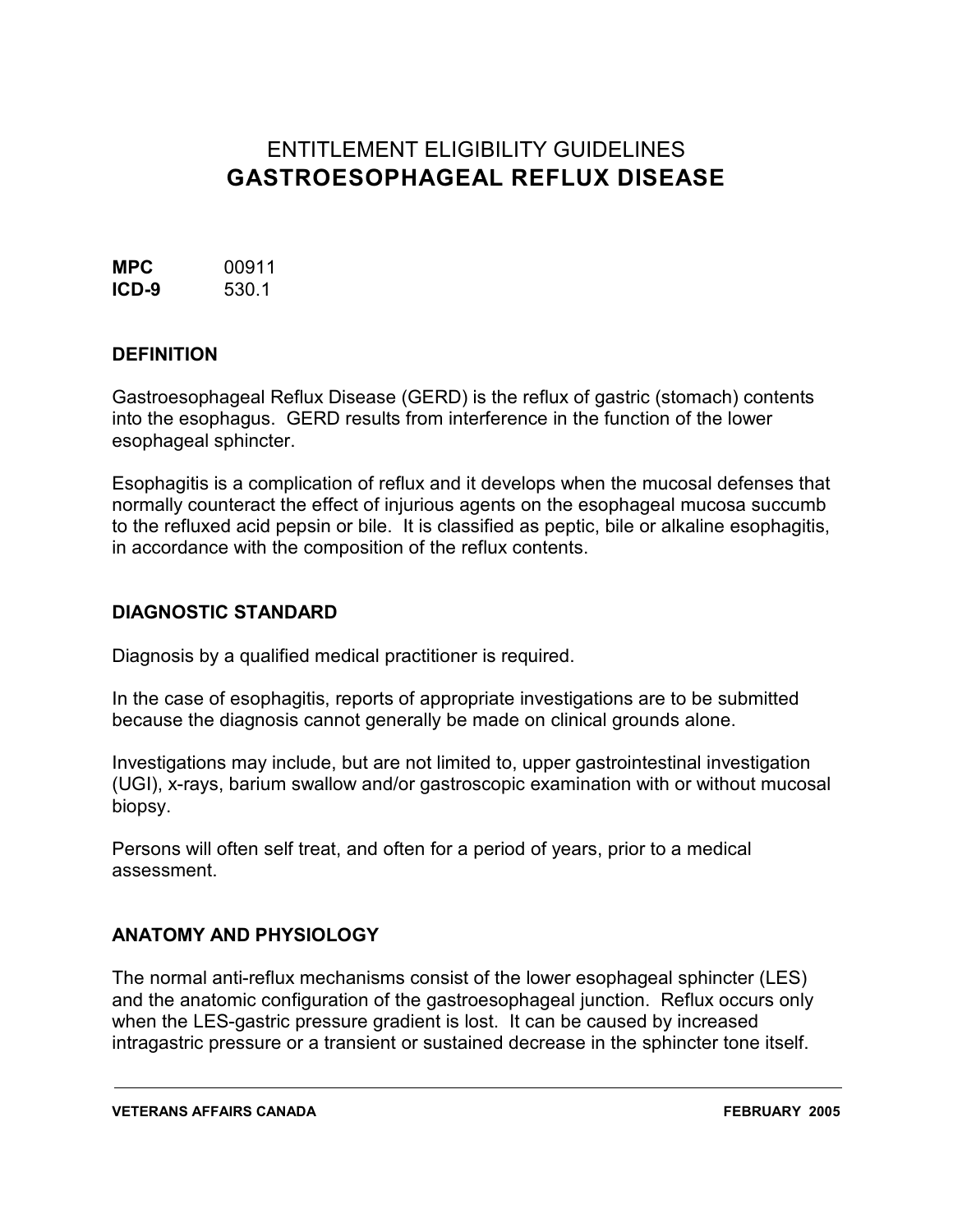# ENTITLEMENT ELIGIBILITY GUIDELINES **GASTROESOPHAGEAL REFLUX DISEASE**

**MPC** 00911 **ICD-9** 530.1

### **DEFINITION**

Gastroesophageal Reflux Disease (GERD) is the reflux of gastric (stomach) contents into the esophagus. GERD results from interference in the function of the lower esophageal sphincter.

Esophagitis is a complication of reflux and it develops when the mucosal defenses that normally counteract the effect of injurious agents on the esophageal mucosa succumb to the refluxed acid pepsin or bile. It is classified as peptic, bile or alkaline esophagitis, in accordance with the composition of the reflux contents.

#### **DIAGNOSTIC STANDARD**

Diagnosis by a qualified medical practitioner is required.

In the case of esophagitis, reports of appropriate investigations are to be submitted because the diagnosis cannot generally be made on clinical grounds alone.

Investigations may include, but are not limited to, upper gastrointestinal investigation (UGI), x-rays, barium swallow and/or gastroscopic examination with or without mucosal biopsy.

Persons will often self treat, and often for a period of years, prior to a medical assessment.

### **ANATOMY AND PHYSIOLOGY**

The normal anti-reflux mechanisms consist of the lower esophageal sphincter (LES) and the anatomic configuration of the gastroesophageal junction. Reflux occurs only when the LES-gastric pressure gradient is lost. It can be caused by increased intragastric pressure or a transient or sustained decrease in the sphincter tone itself.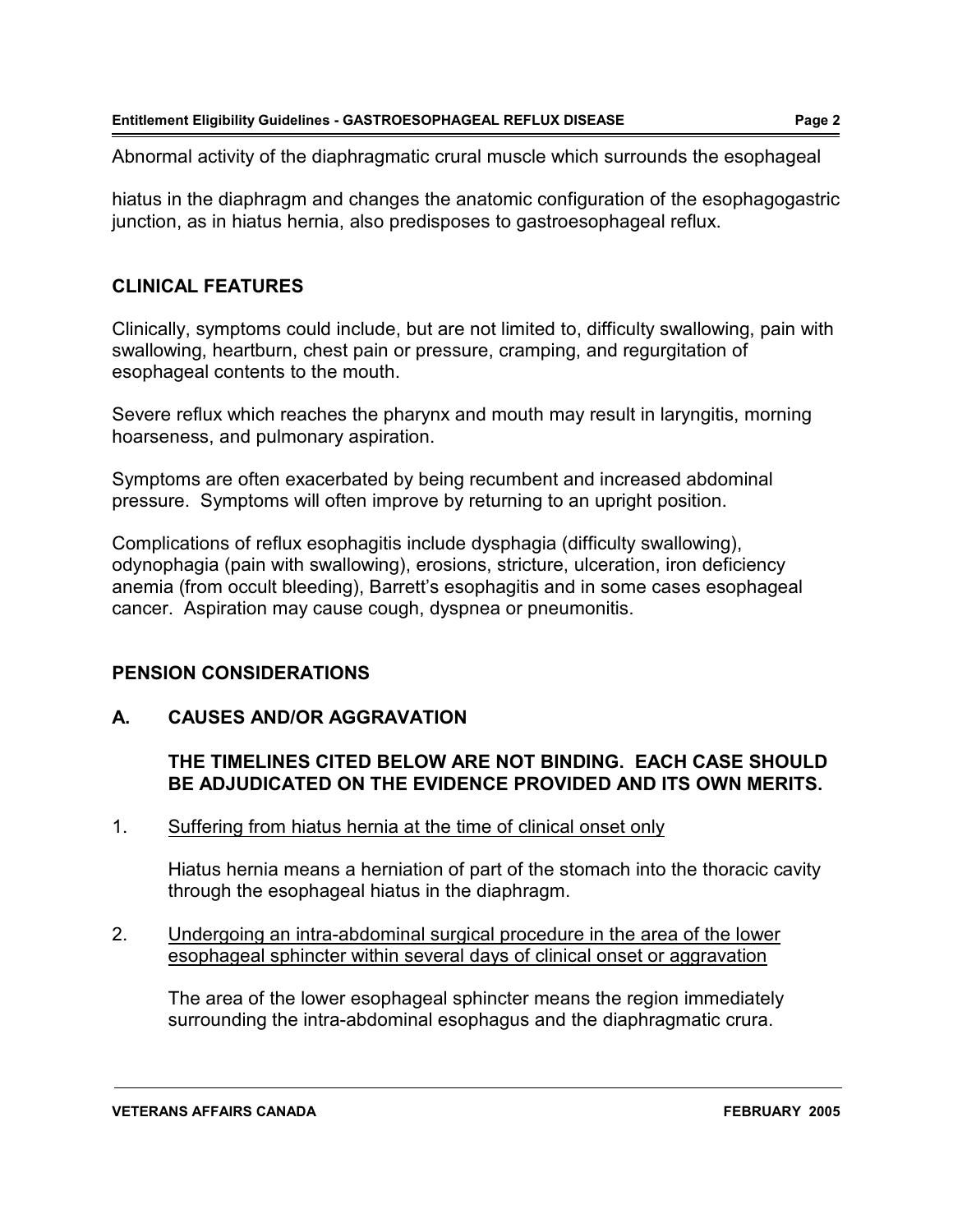Abnormal activity of the diaphragmatic crural muscle which surrounds the esophageal

hiatus in the diaphragm and changes the anatomic configuration of the esophagogastric junction, as in hiatus hernia, also predisposes to gastroesophageal reflux.

### **CLINICAL FEATURES**

Clinically, symptoms could include, but are not limited to, difficulty swallowing, pain with swallowing, heartburn, chest pain or pressure, cramping, and regurgitation of esophageal contents to the mouth.

Severe reflux which reaches the pharynx and mouth may result in laryngitis, morning hoarseness, and pulmonary aspiration.

Symptoms are often exacerbated by being recumbent and increased abdominal pressure. Symptoms will often improve by returning to an upright position.

Complications of reflux esophagitis include dysphagia (difficulty swallowing), odynophagia (pain with swallowing), erosions, stricture, ulceration, iron deficiency anemia (from occult bleeding), Barrett's esophagitis and in some cases esophageal cancer. Aspiration may cause cough, dyspnea or pneumonitis.

# **PENSION CONSIDERATIONS**

# **A. CAUSES AND/OR AGGRAVATION**

### **THE TIMELINES CITED BELOW ARE NOT BINDING. EACH CASE SHOULD BE ADJUDICATED ON THE EVIDENCE PROVIDED AND ITS OWN MERITS.**

1. Suffering from hiatus hernia at the time of clinical onset only

Hiatus hernia means a herniation of part of the stomach into the thoracic cavity through the esophageal hiatus in the diaphragm.

2. Undergoing an intra-abdominal surgical procedure in the area of the lower esophageal sphincter within several days of clinical onset or aggravation

The area of the lower esophageal sphincter means the region immediately surrounding the intra-abdominal esophagus and the diaphragmatic crura.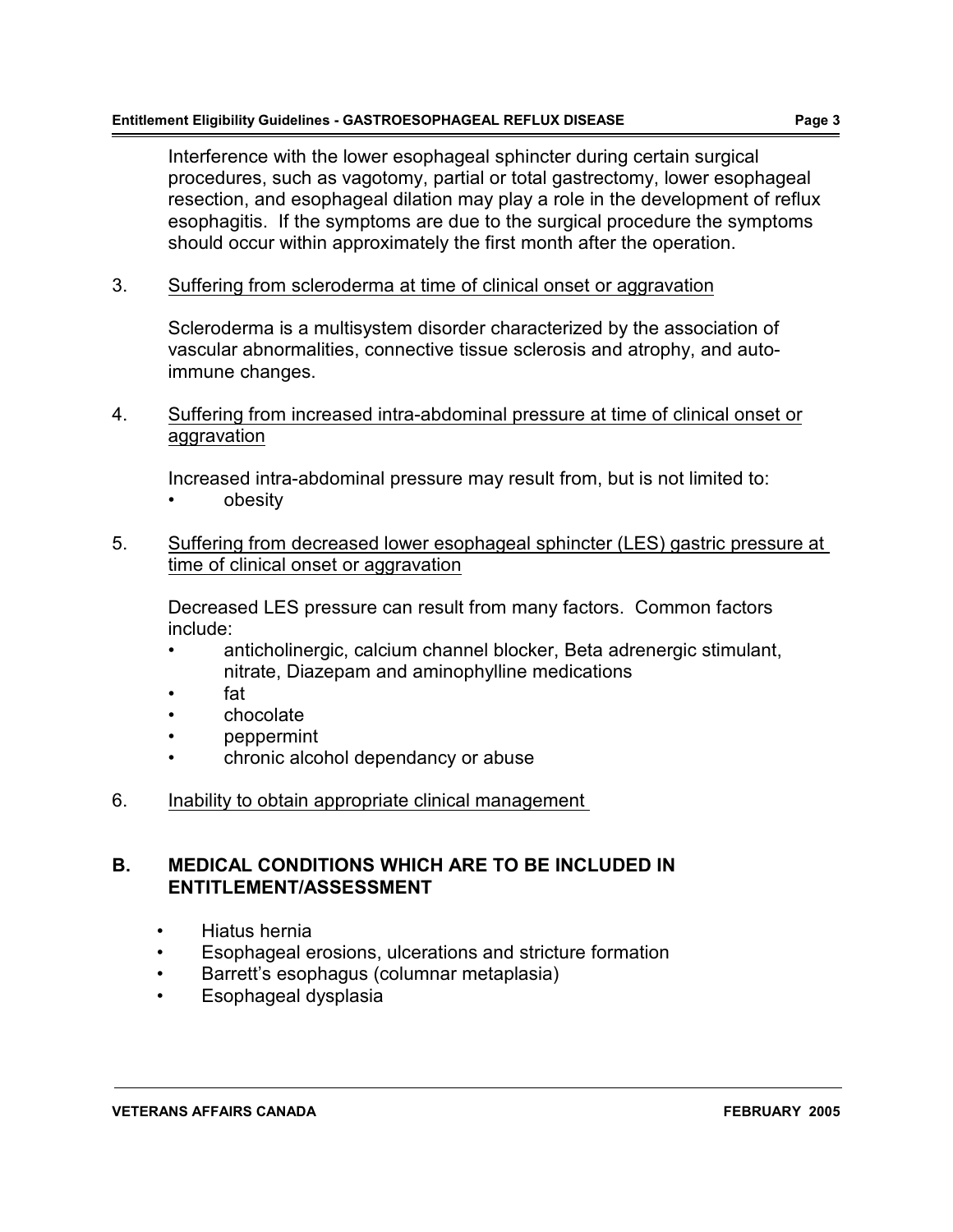Interference with the lower esophageal sphincter during certain surgical procedures, such as vagotomy, partial or total gastrectomy, lower esophageal resection, and esophageal dilation may play a role in the development of reflux esophagitis. If the symptoms are due to the surgical procedure the symptoms should occur within approximately the first month after the operation.

3. Suffering from scleroderma at time of clinical onset or aggravation

Scleroderma is a multisystem disorder characterized by the association of vascular abnormalities, connective tissue sclerosis and atrophy, and autoimmune changes.

4. Suffering from increased intra-abdominal pressure at time of clinical onset or aggravation

Increased intra-abdominal pressure may result from, but is not limited to:

- obesity
- 5. Suffering from decreased lower esophageal sphincter (LES) gastric pressure at time of clinical onset or aggravation

Decreased LES pressure can result from many factors. Common factors include:

- anticholinergic, calcium channel blocker, Beta adrenergic stimulant, nitrate, Diazepam and aminophylline medications
- fat
- chocolate
- peppermint
- chronic alcohol dependancy or abuse
- 6. Inability to obtain appropriate clinical management

#### **B. MEDICAL CONDITIONS WHICH ARE TO BE INCLUDED IN ENTITLEMENT/ASSESSMENT**

- Hiatus hernia
- Esophageal erosions, ulcerations and stricture formation
- Barrett's esophagus (columnar metaplasia)
- Esophageal dysplasia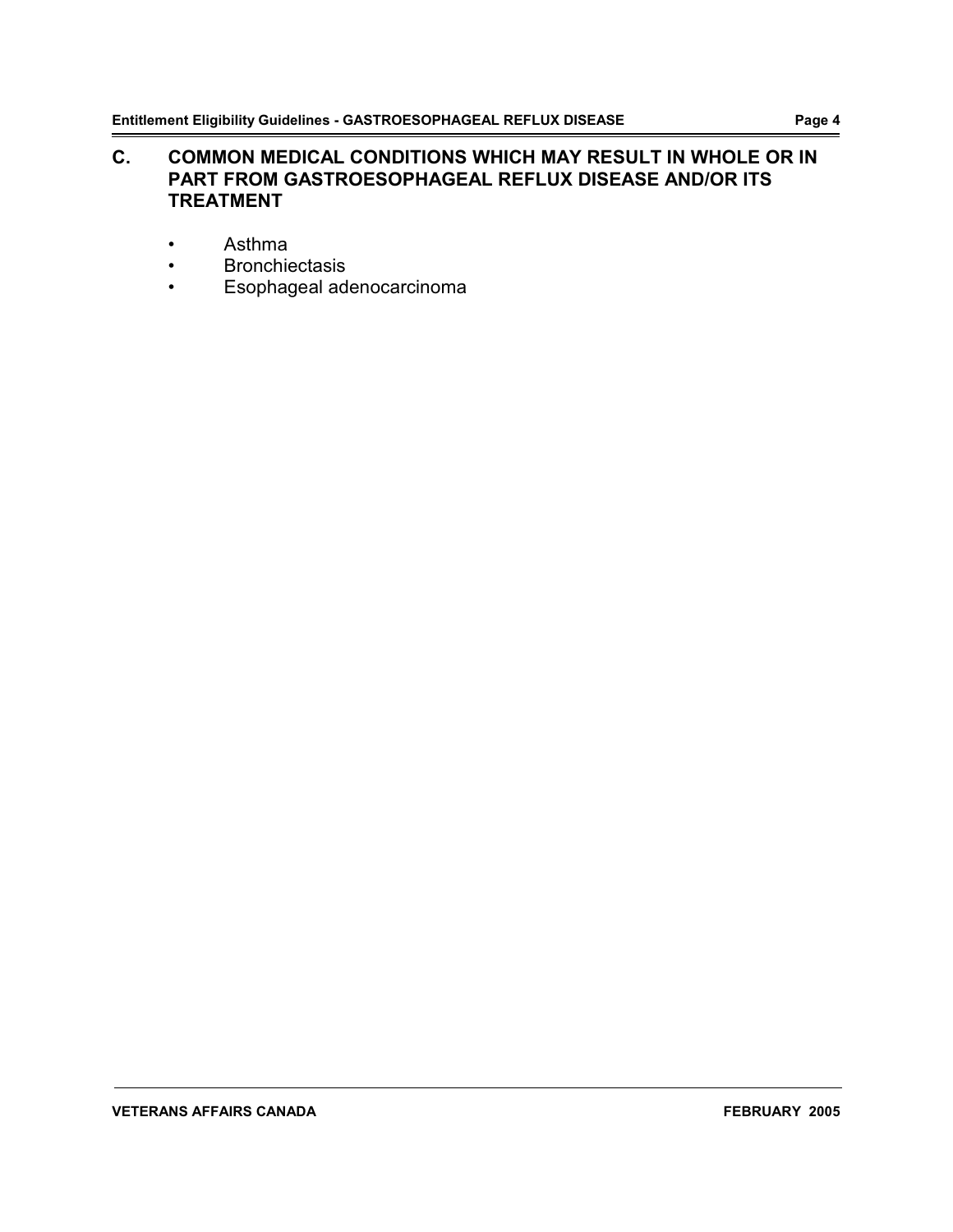### **C. COMMON MEDICAL CONDITIONS WHICH MAY RESULT IN WHOLE OR IN PART FROM GASTROESOPHAGEAL REFLUX DISEASE AND/OR ITS TREATMENT**

- Asthma
- Bronchiectasis
- Esophageal adenocarcinoma